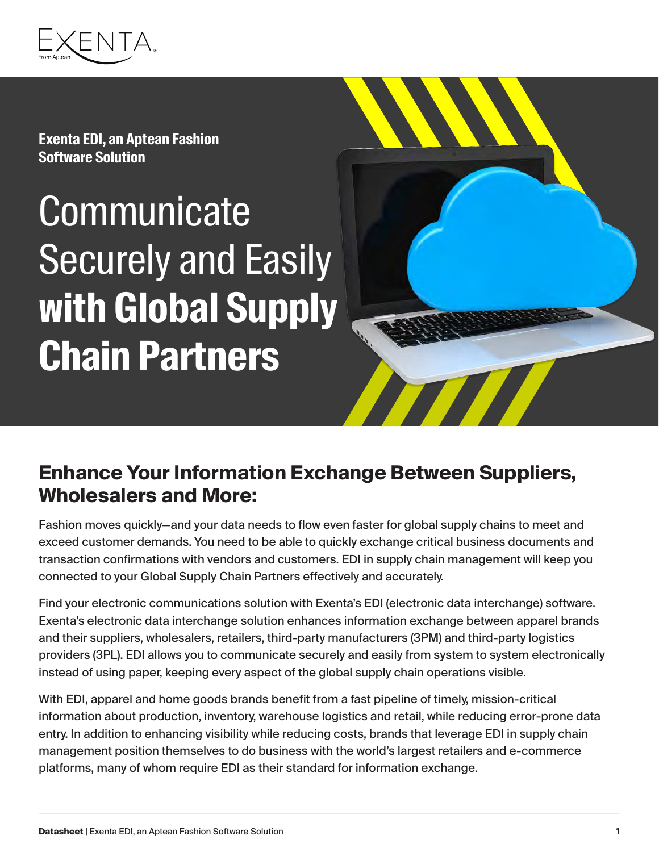

**Exenta EDI, an Aptean Fashion Software Solution**

# **Communicate** Securely and Easily **with Global Supply Chain Partners**



#### **Enhance Your Information Exchange Between Suppliers, Wholesalers and More:**

Fashion moves quickly—and your data needs to flow even faster for global supply chains to meet and exceed customer demands. You need to be able to quickly exchange critical business documents and transaction confirmations with vendors and customers. EDI in supply chain management will keep you connected to your Global Supply Chain Partners effectively and accurately.

Find your electronic communications solution with Exenta's EDI (electronic data interchange) software. Exenta's electronic data interchange solution enhances information exchange between apparel brands and their suppliers, wholesalers, retailers, third-party manufacturers (3PM) and third-party logistics providers (3PL). EDI allows you to communicate securely and easily from system to system electronically instead of using paper, keeping every aspect of the global supply chain operations visible.

With EDI, apparel and home goods brands benefit from a fast pipeline of timely, mission-critical information about production, inventory, warehouse logistics and retail, while reducing error-prone data entry. In addition to enhancing visibility while reducing costs, brands that leverage EDI in supply chain management position themselves to do business with the world's largest retailers and e-commerce platforms, many of whom require EDI as their standard for information exchange.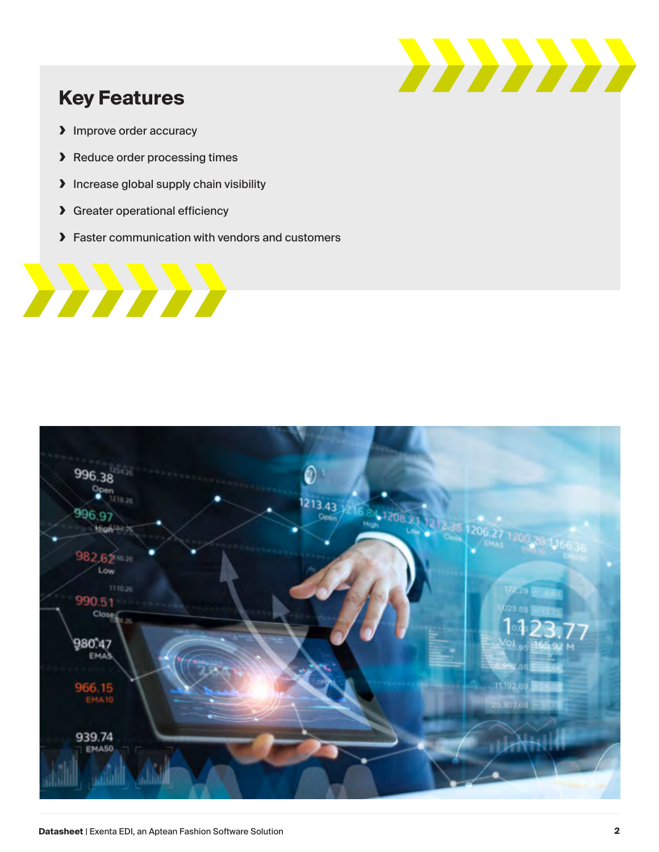

#### **Key Features**

- **›** Improve order accuracy
- **›** Reduce order processing times
- **›** Increase global supply chain visibility
- **›** Greater operational efficiency
- **›** Faster communication with vendors and customers



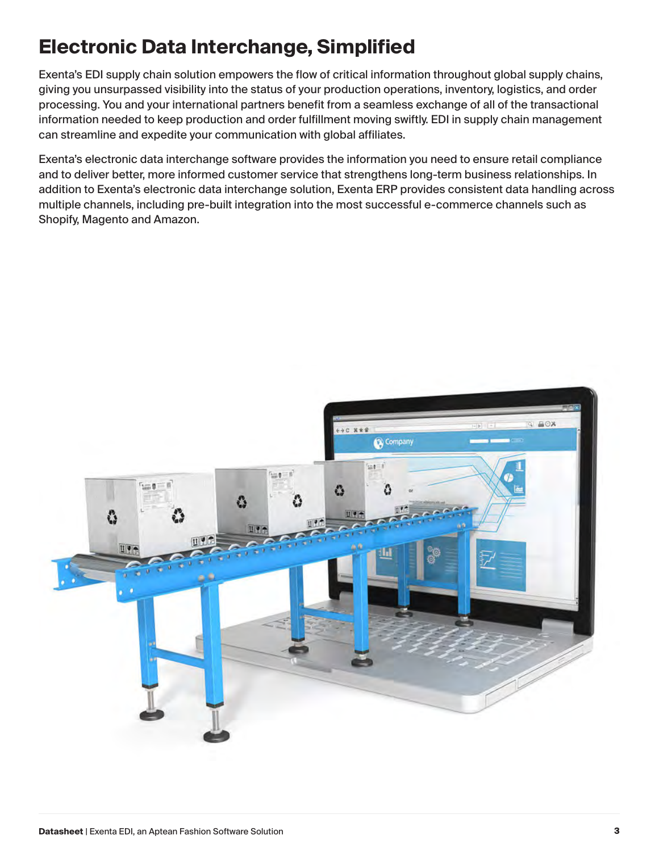### **Electronic Data Interchange, Simplified**

Exenta's EDI supply chain solution empowers the flow of critical information throughout global supply chains, giving you unsurpassed visibility into the status of your production operations, inventory, logistics, and order processing. You and your international partners benefit from a seamless exchange of all of the transactional information needed to keep production and order fulfillment moving swiftly. EDI in supply chain management can streamline and expedite your communication with global affiliates.

Exenta's electronic data interchange software provides the information you need to ensure retail compliance and to deliver better, more informed customer service that strengthens long-term business relationships. In addition to Exenta's electronic data interchange solution, Exenta ERP provides consistent data handling across multiple channels, including pre-built integration into the most successful e-commerce channels such as Shopify, Magento and Amazon.